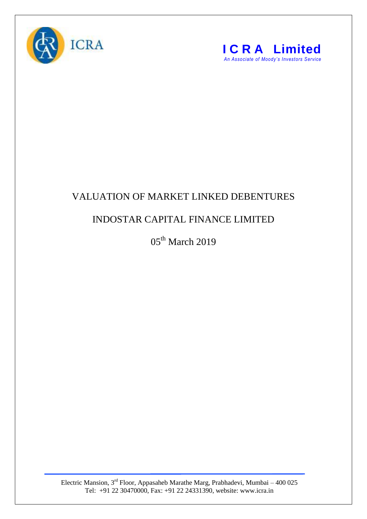



## VALUATION OF MARKET LINKED DEBENTURES

## INDOSTAR CAPITAL FINANCE LIMITED

05<sup>th</sup> March 2019

Electric Mansion,  $3<sup>rd</sup>$  Floor, Appasaheb Marathe Marg, Prabhadevi, Mumbai – 400 025 Tel: +91 22 30470000, Fax: +91 22 24331390, website: www.icra.in